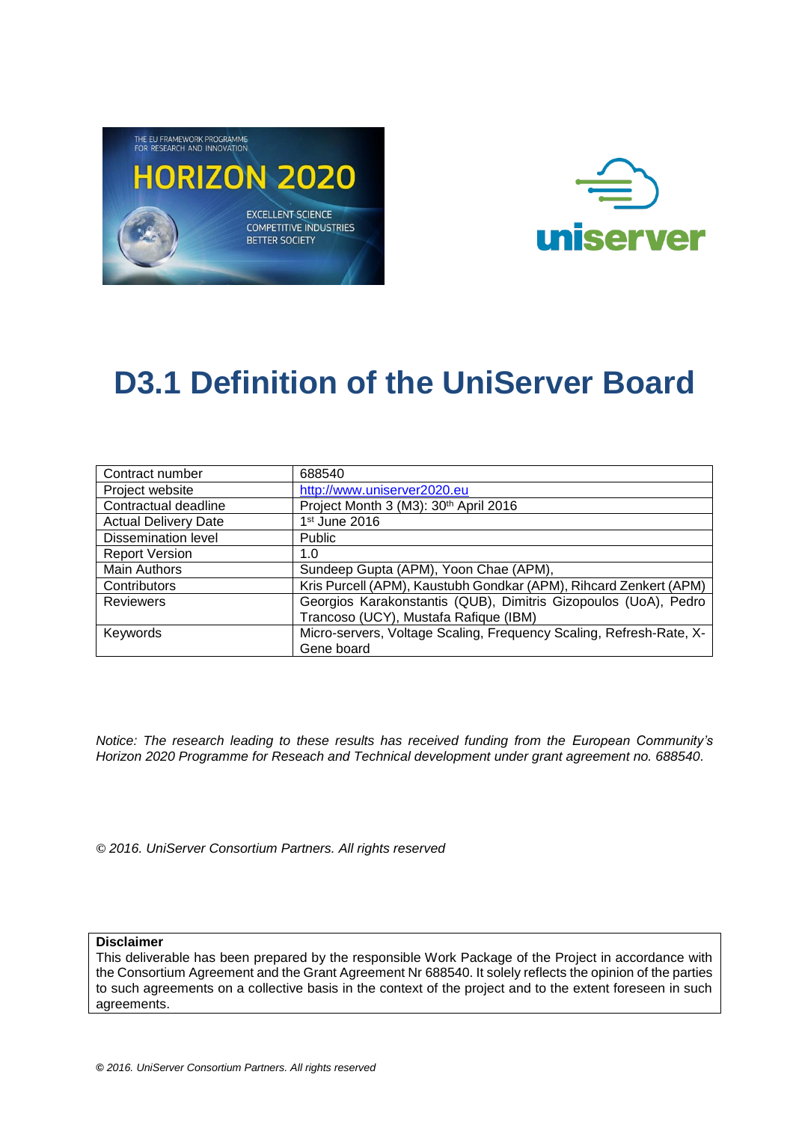



| Contract number             | 688540                                                              |  |
|-----------------------------|---------------------------------------------------------------------|--|
| Project website             | http://www.uniserver2020.eu                                         |  |
| Contractual deadline        | Project Month 3 (M3): 30th April 2016                               |  |
| <b>Actual Delivery Date</b> | 1st June 2016                                                       |  |
| <b>Dissemination level</b>  | <b>Public</b>                                                       |  |
| <b>Report Version</b>       | 1.0                                                                 |  |
| <b>Main Authors</b>         | Sundeep Gupta (APM), Yoon Chae (APM),                               |  |
| Contributors                | Kris Purcell (APM), Kaustubh Gondkar (APM), Rihcard Zenkert (APM)   |  |
| <b>Reviewers</b>            | Georgios Karakonstantis (QUB), Dimitris Gizopoulos (UoA), Pedro     |  |
|                             | Trancoso (UCY), Mustafa Rafique (IBM)                               |  |
| Keywords                    | Micro-servers, Voltage Scaling, Frequency Scaling, Refresh-Rate, X- |  |
|                             | Gene board                                                          |  |

*Notice: The research leading to these results has received funding from the European Community's Horizon 2020 Programme for Reseach and Technical development under grant agreement no. 688540.*

**©** *2016. UniServer Consortium Partners. All rights reserved*

**Disclaimer**

This deliverable has been prepared by the responsible Work Package of the Project in accordance with the Consortium Agreement and the Grant Agreement Nr 688540. It solely reflects the opinion of the parties to such agreements on a collective basis in the context of the project and to the extent foreseen in such agreements.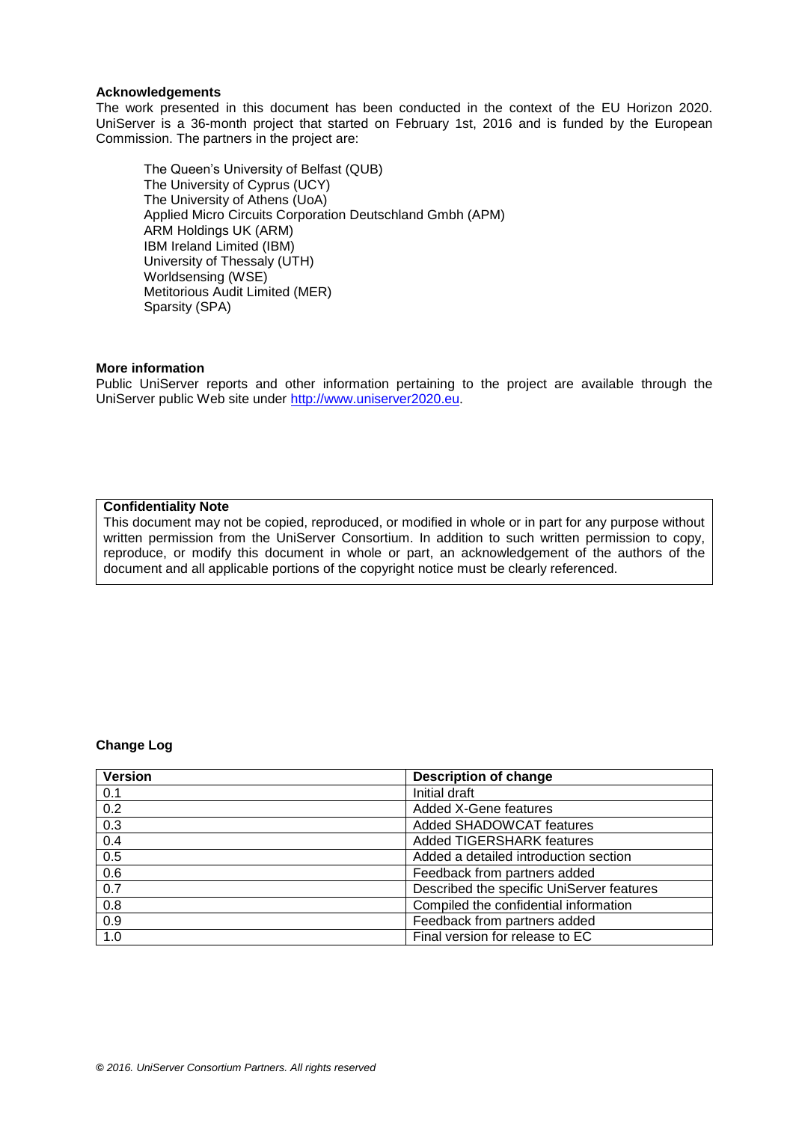#### **Acknowledgements**

The work presented in this document has been conducted in the context of the EU Horizon 2020. UniServer is a 36-month project that started on February 1st, 2016 and is funded by the European Commission. The partners in the project are:

The Queen's University of Belfast (QUB) The University of Cyprus (UCY) The University of Athens (UoA) Applied Micro Circuits Corporation Deutschland Gmbh (APM) ARM Holdings UK (ARM) IBM Ireland Limited (IBM) University of Thessaly (UTH) Worldsensing (WSE) Metitorious Audit Limited (MER) Sparsity (SPA)

#### **More information**

Public UniServer reports and other information pertaining to the project are available through the UniServer public Web site under [http://www.uniserver2020.eu](http://www.uniserver2020.eu/).

#### **Confidentiality Note**

This document may not be copied, reproduced, or modified in whole or in part for any purpose without written permission from the UniServer Consortium. In addition to such written permission to copy, reproduce, or modify this document in whole or part, an acknowledgement of the authors of the document and all applicable portions of the copyright notice must be clearly referenced.

#### **Change Log**

| <b>Version</b>   | <b>Description of change</b>              |
|------------------|-------------------------------------------|
| 0.1              | Initial draft                             |
| 0.2              | <b>Added X-Gene features</b>              |
| 0.3              | Added SHADOWCAT features                  |
| 0.4              | <b>Added TIGERSHARK features</b>          |
| 0.5              | Added a detailed introduction section     |
| 0.6              | Feedback from partners added              |
| 0.7              | Described the specific UniServer features |
| $\overline{0.8}$ | Compiled the confidential information     |
| $\overline{0.9}$ | Feedback from partners added              |
| 1.0              | Final version for release to EC           |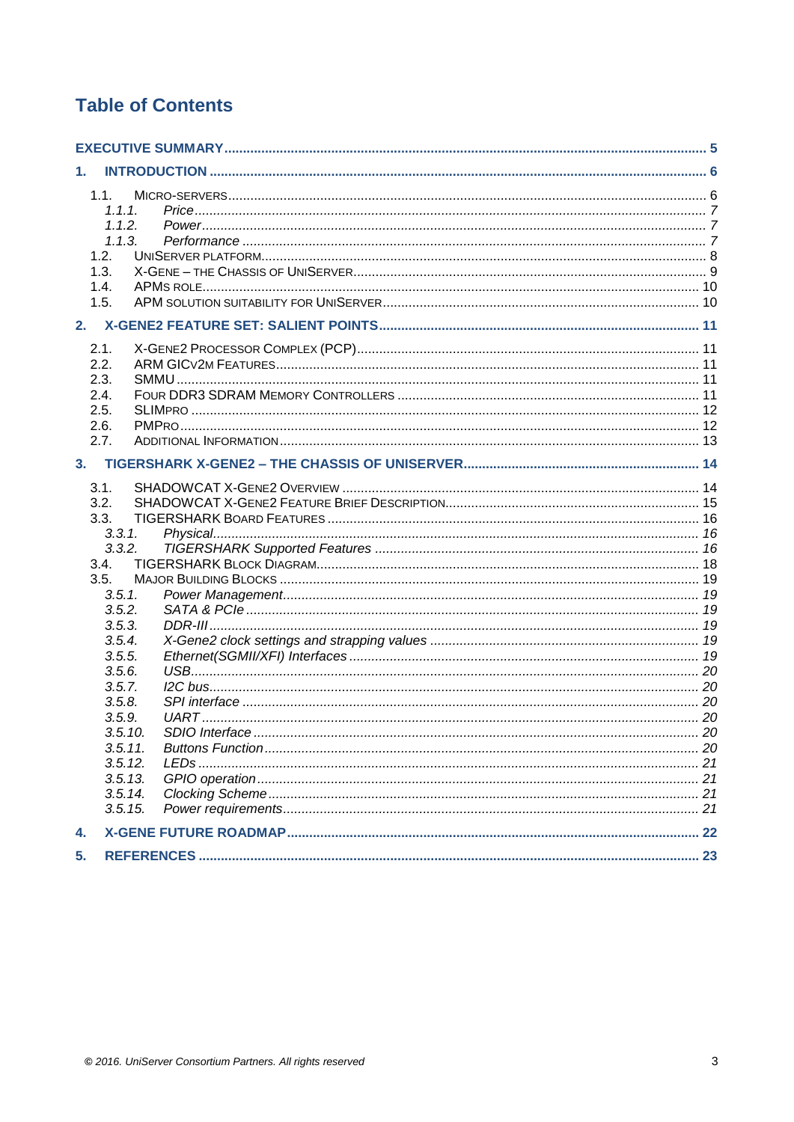# **Table of Contents**

| 1. |         |  |
|----|---------|--|
|    | 1.1.    |  |
|    | 1.1.1.  |  |
|    | 1.1.2.  |  |
|    | 1.1.3.  |  |
|    | 1.2.    |  |
|    | 1.3.    |  |
|    | 1.4.    |  |
|    | 1.5.    |  |
| 2. |         |  |
|    | 2.1.    |  |
|    | 2.2.    |  |
|    | 2.3.    |  |
|    | 2.4.    |  |
|    | 2.5.    |  |
|    | 2.6.    |  |
|    | 2.7.    |  |
| 3. |         |  |
|    | 3.1.    |  |
|    | 3.2.    |  |
|    | 3.3.    |  |
|    | 3.3.1.  |  |
|    | 3.3.2.  |  |
|    | 3.4.    |  |
|    | 3.5.    |  |
|    | 3.5.1.  |  |
|    | 3.5.2.  |  |
|    | 3.5.3.  |  |
|    | 3.5.4.  |  |
|    | 3.5.5.  |  |
|    | 3.5.6.  |  |
|    | 3.5.7.  |  |
|    | 3.5.8.  |  |
|    | 3.5.9.  |  |
|    | 3.5.10. |  |
|    | 3.5.11. |  |
|    | 3.5.12. |  |
|    | 3.5.13. |  |
|    | 3.5.14. |  |
|    | 3.5.15. |  |
| 4. |         |  |
| 5. |         |  |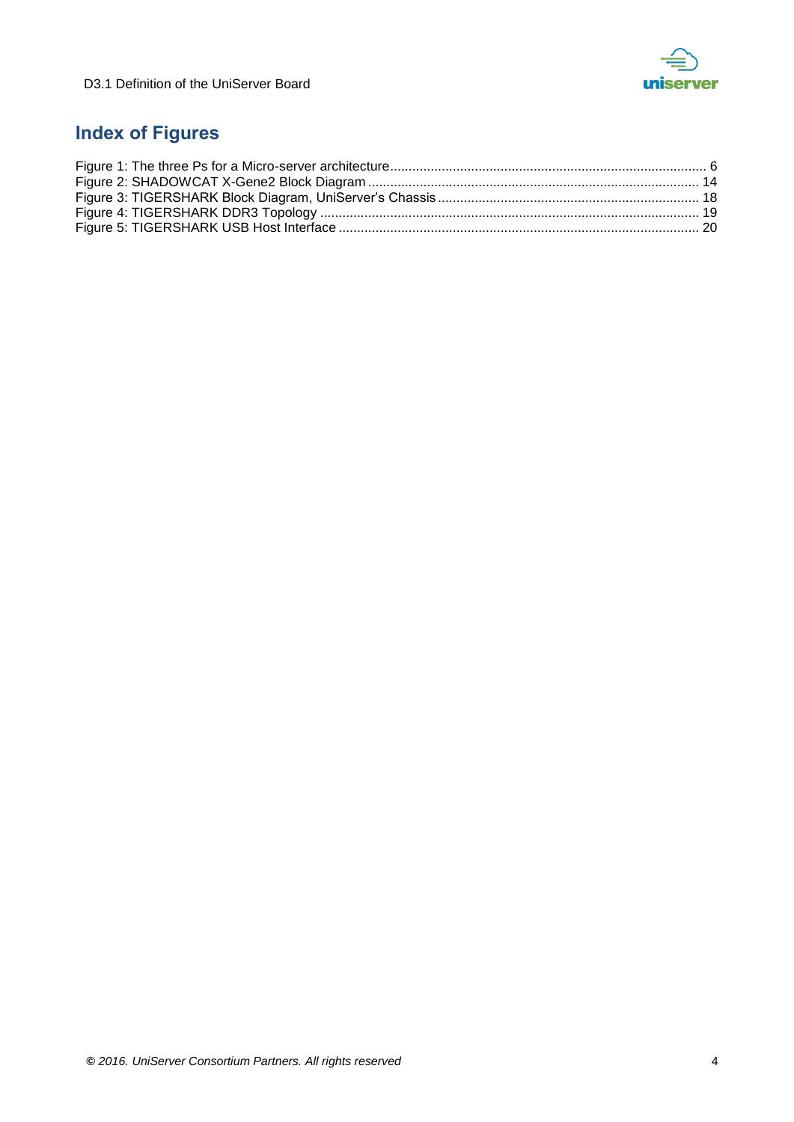

# **Index of Figures**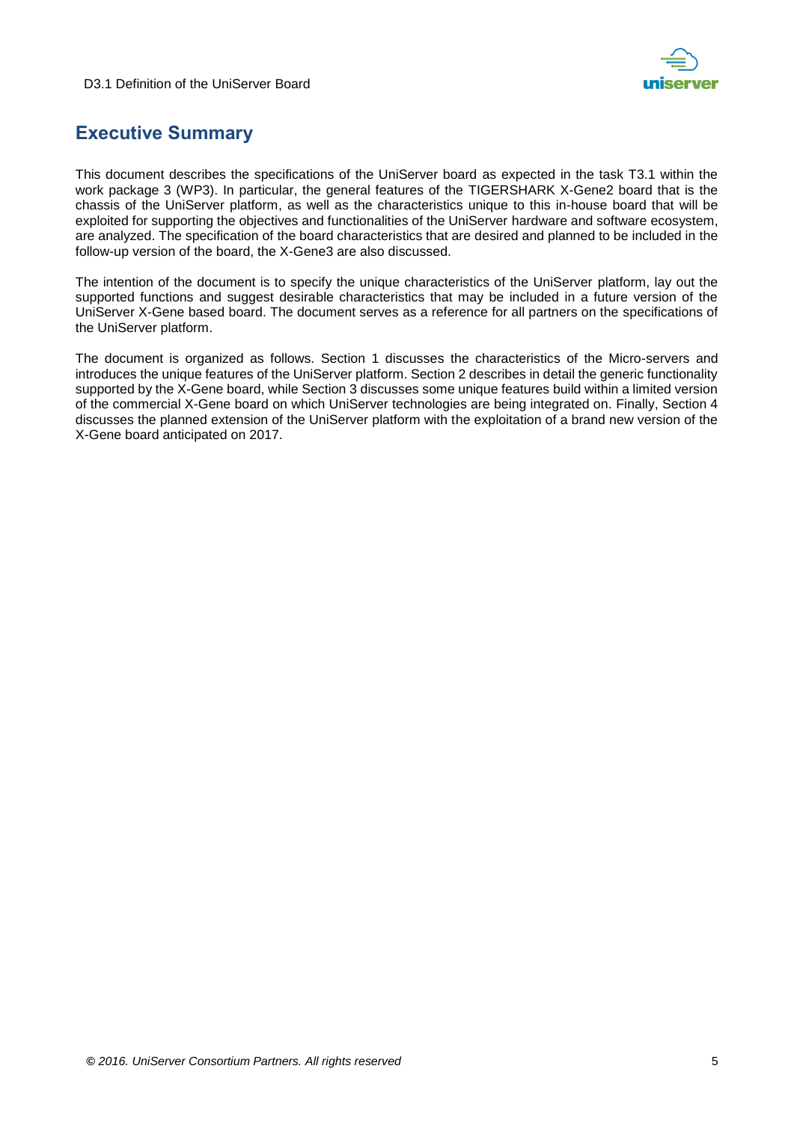



# <span id="page-4-0"></span>**Executive Summary**

This document describes the specifications of the UniServer board as expected in the task T3.1 within the work package 3 (WP3). In particular, the general features of the TIGERSHARK X-Gene2 board that is the chassis of the UniServer platform, as well as the characteristics unique to this in-house board that will be exploited for supporting the objectives and functionalities of the UniServer hardware and software ecosystem, are analyzed. The specification of the board characteristics that are desired and planned to be included in the follow-up version of the board, the X-Gene3 are also discussed.

The intention of the document is to specify the unique characteristics of the UniServer platform, lay out the supported functions and suggest desirable characteristics that may be included in a future version of the UniServer X-Gene based board. The document serves as a reference for all partners on the specifications of the UniServer platform.

The document is organized as follows. Section 1 discusses the characteristics of the Micro-servers and introduces the unique features of the UniServer platform. Section 2 describes in detail the generic functionality supported by the X-Gene board, while Section 3 discusses some unique features build within a limited version of the commercial X-Gene board on which UniServer technologies are being integrated on. Finally, Section 4 discusses the planned extension of the UniServer platform with the exploitation of a brand new version of the X-Gene board anticipated on 2017.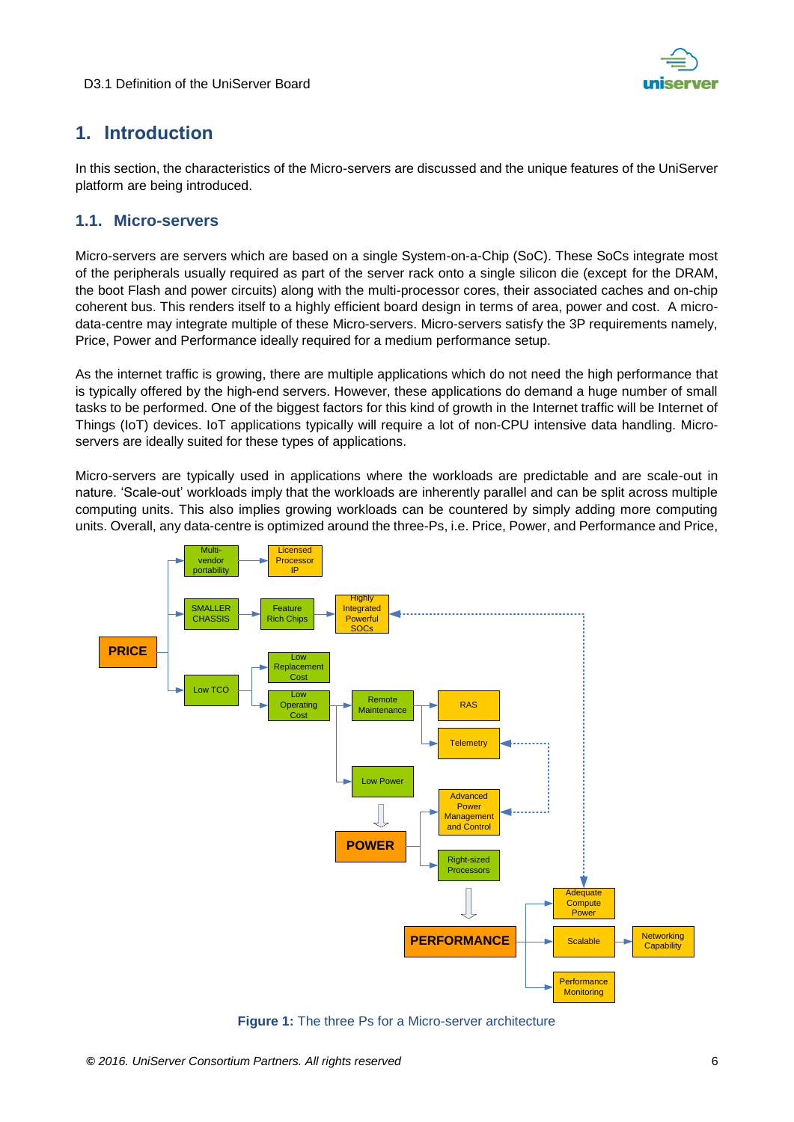

# <span id="page-5-0"></span>**1. Introduction**

In this section, the characteristics of the Micro-servers are discussed and the unique features of the UniServer platform are being introduced.

### <span id="page-5-1"></span>**1.1. Micro-servers**

Micro-servers are servers which are based on a single System-on-a-Chip (SoC). These SoCs integrate most of the peripherals usually required as part of the server rack onto a single silicon die (except for the DRAM, the boot Flash and power circuits) along with the multi-processor cores, their associated caches and on-chip coherent bus. This renders itself to a highly efficient board design in terms of area, power and cost. A microdata-centre may integrate multiple of these Micro-servers. Micro-servers satisfy the 3P requirements namely, Price, Power and Performance ideally required for a medium performance setup.

As the internet traffic is growing, there are multiple applications which do not need the high performance that is typically offered by the high-end servers. However, these applications do demand a huge number of small tasks to be performed. One of the biggest factors for this kind of growth in the Internet traffic will be Internet of Things (IoT) devices. IoT applications typically will require a lot of non-CPU intensive data handling. Microservers are ideally suited for these types of applications.

Micro-servers are typically used in applications where the workloads are predictable and are scale-out in nature. 'Scale-out' workloads imply that the workloads are inherently parallel and can be split across multiple computing units. This also implies growing workloads can be countered by simply adding more computing units. Overall, any data-centre is optimized around the three-Ps, i.e. Price, Power, and Performance and Price,



<span id="page-5-2"></span>**Figure 1:** The three Ps for a Micro-server architecture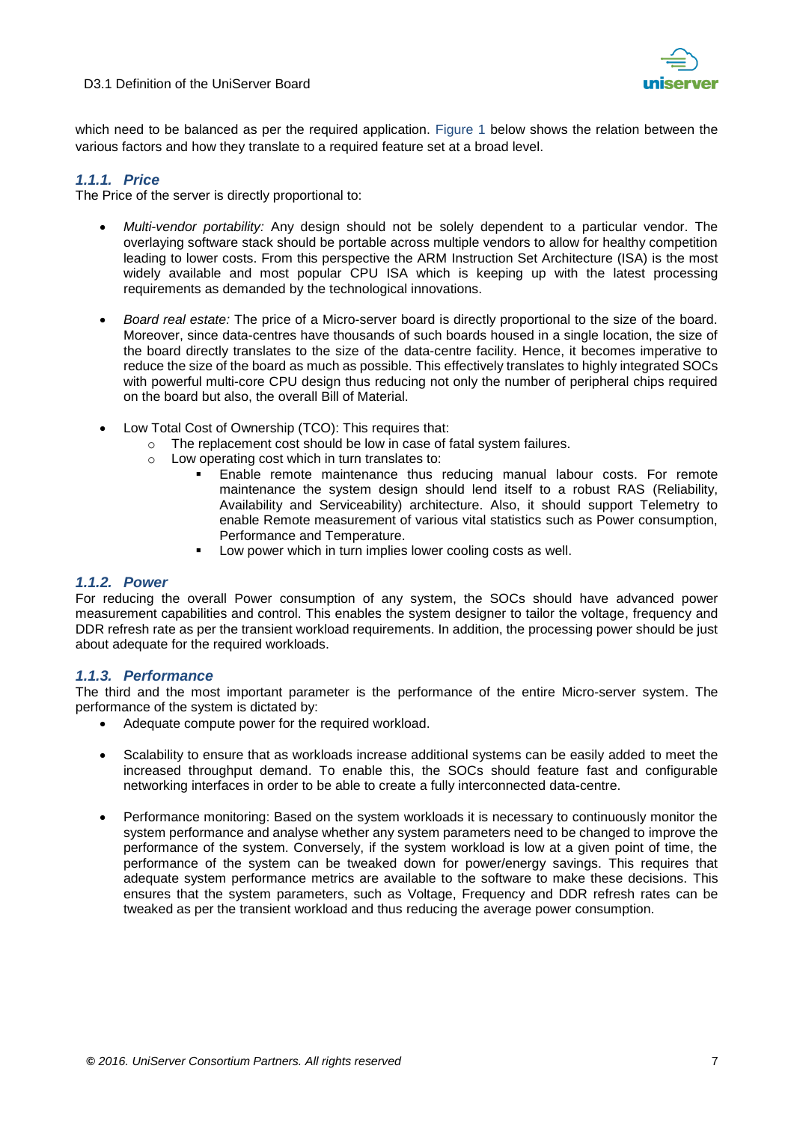



which need to be balanced as per the required application. [Figure 1](#page-5-2) below shows the relation between the various factors and how they translate to a required feature set at a broad level.

#### <span id="page-6-0"></span>*1.1.1. Price*

The Price of the server is directly proportional to:

- *Multi-vendor portability:* Any design should not be solely dependent to a particular vendor. The overlaying software stack should be portable across multiple vendors to allow for healthy competition leading to lower costs. From this perspective the ARM Instruction Set Architecture (ISA) is the most widely available and most popular CPU ISA which is keeping up with the latest processing requirements as demanded by the technological innovations.
- *Board real estate:* The price of a Micro-server board is directly proportional to the size of the board. Moreover, since data-centres have thousands of such boards housed in a single location, the size of the board directly translates to the size of the data-centre facility. Hence, it becomes imperative to reduce the size of the board as much as possible. This effectively translates to highly integrated SOCs with powerful multi-core CPU design thus reducing not only the number of peripheral chips required on the board but also, the overall Bill of Material.
- Low Total Cost of Ownership (TCO): This requires that:
	- o The replacement cost should be low in case of fatal system failures.
	- o Low operating cost which in turn translates to:
		- Enable remote maintenance thus reducing manual labour costs. For remote maintenance the system design should lend itself to a robust RAS (Reliability, Availability and Serviceability) architecture. Also, it should support Telemetry to enable Remote measurement of various vital statistics such as Power consumption, Performance and Temperature.
		- **Low power which in turn implies lower cooling costs as well.**

#### <span id="page-6-1"></span>*1.1.2. Power*

For reducing the overall Power consumption of any system, the SOCs should have advanced power measurement capabilities and control. This enables the system designer to tailor the voltage, frequency and DDR refresh rate as per the transient workload requirements. In addition, the processing power should be just about adequate for the required workloads.

#### <span id="page-6-2"></span>*1.1.3. Performance*

The third and the most important parameter is the performance of the entire Micro-server system. The performance of the system is dictated by:

- Adequate compute power for the required workload.
- Scalability to ensure that as workloads increase additional systems can be easily added to meet the increased throughput demand. To enable this, the SOCs should feature fast and configurable networking interfaces in order to be able to create a fully interconnected data-centre.
- Performance monitoring: Based on the system workloads it is necessary to continuously monitor the system performance and analyse whether any system parameters need to be changed to improve the performance of the system. Conversely, if the system workload is low at a given point of time, the performance of the system can be tweaked down for power/energy savings. This requires that adequate system performance metrics are available to the software to make these decisions. This ensures that the system parameters, such as Voltage, Frequency and DDR refresh rates can be tweaked as per the transient workload and thus reducing the average power consumption.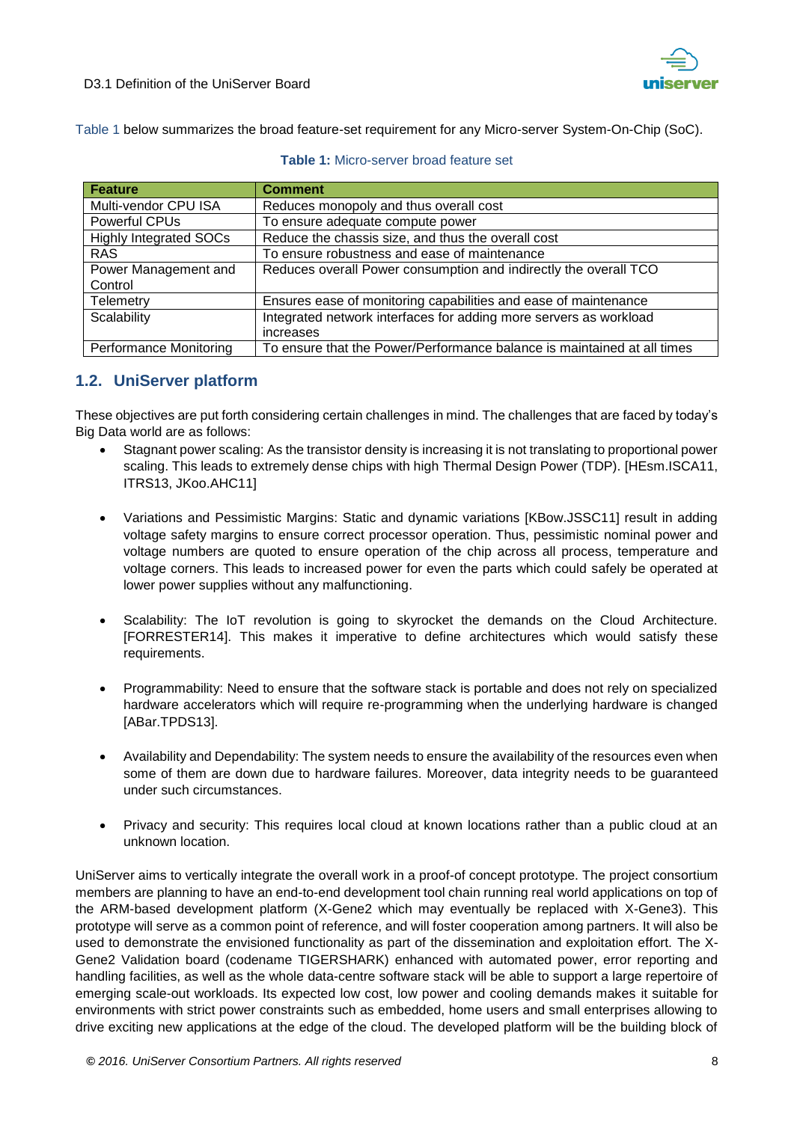

Table 1 below summarizes the broad feature-set requirement for any Micro-server System-On-Chip (SoC).

| <b>Feature</b>                | <b>Comment</b>                                                          |
|-------------------------------|-------------------------------------------------------------------------|
| Multi-vendor CPU ISA          | Reduces monopoly and thus overall cost                                  |
| Powerful CPUs                 | To ensure adequate compute power                                        |
| <b>Highly Integrated SOCs</b> | Reduce the chassis size, and thus the overall cost                      |
| <b>RAS</b>                    | To ensure robustness and ease of maintenance                            |
| Power Management and          | Reduces overall Power consumption and indirectly the overall TCO        |
| Control                       |                                                                         |
| <b>Telemetry</b>              | Ensures ease of monitoring capabilities and ease of maintenance         |
| Scalability                   | Integrated network interfaces for adding more servers as workload       |
|                               | increases                                                               |
| <b>Performance Monitoring</b> | To ensure that the Power/Performance balance is maintained at all times |

#### **Table 1:** Micro-server broad feature set

## <span id="page-7-0"></span>**1.2. UniServer platform**

These objectives are put forth considering certain challenges in mind. The challenges that are faced by today's Big Data world are as follows:

- Stagnant power scaling: As the transistor density is increasing it is not translating to proportional power scaling. This leads to extremely dense chips with high Thermal Design Power (TDP). [HEsm.ISCA11, ITRS13, JKoo.AHC11]
- Variations and Pessimistic Margins: Static and dynamic variations [KBow.JSSC11] result in adding voltage safety margins to ensure correct processor operation. Thus, pessimistic nominal power and voltage numbers are quoted to ensure operation of the chip across all process, temperature and voltage corners. This leads to increased power for even the parts which could safely be operated at lower power supplies without any malfunctioning.
- Scalability: The IoT revolution is going to skyrocket the demands on the Cloud Architecture. [FORRESTER14]. This makes it imperative to define architectures which would satisfy these requirements.
- Programmability: Need to ensure that the software stack is portable and does not rely on specialized hardware accelerators which will require re-programming when the underlying hardware is changed [ABar.TPDS13].
- Availability and Dependability: The system needs to ensure the availability of the resources even when some of them are down due to hardware failures. Moreover, data integrity needs to be guaranteed under such circumstances.
- Privacy and security: This requires local cloud at known locations rather than a public cloud at an unknown location.

UniServer aims to vertically integrate the overall work in a proof-of concept prototype. The project consortium members are planning to have an end-to-end development tool chain running real world applications on top of the ARM-based development platform (X-Gene2 which may eventually be replaced with X-Gene3). This prototype will serve as a common point of reference, and will foster cooperation among partners. It will also be used to demonstrate the envisioned functionality as part of the dissemination and exploitation effort. The X-Gene2 Validation board (codename TIGERSHARK) enhanced with automated power, error reporting and handling facilities, as well as the whole data-centre software stack will be able to support a large repertoire of emerging scale-out workloads. Its expected low cost, low power and cooling demands makes it suitable for environments with strict power constraints such as embedded, home users and small enterprises allowing to drive exciting new applications at the edge of the cloud. The developed platform will be the building block of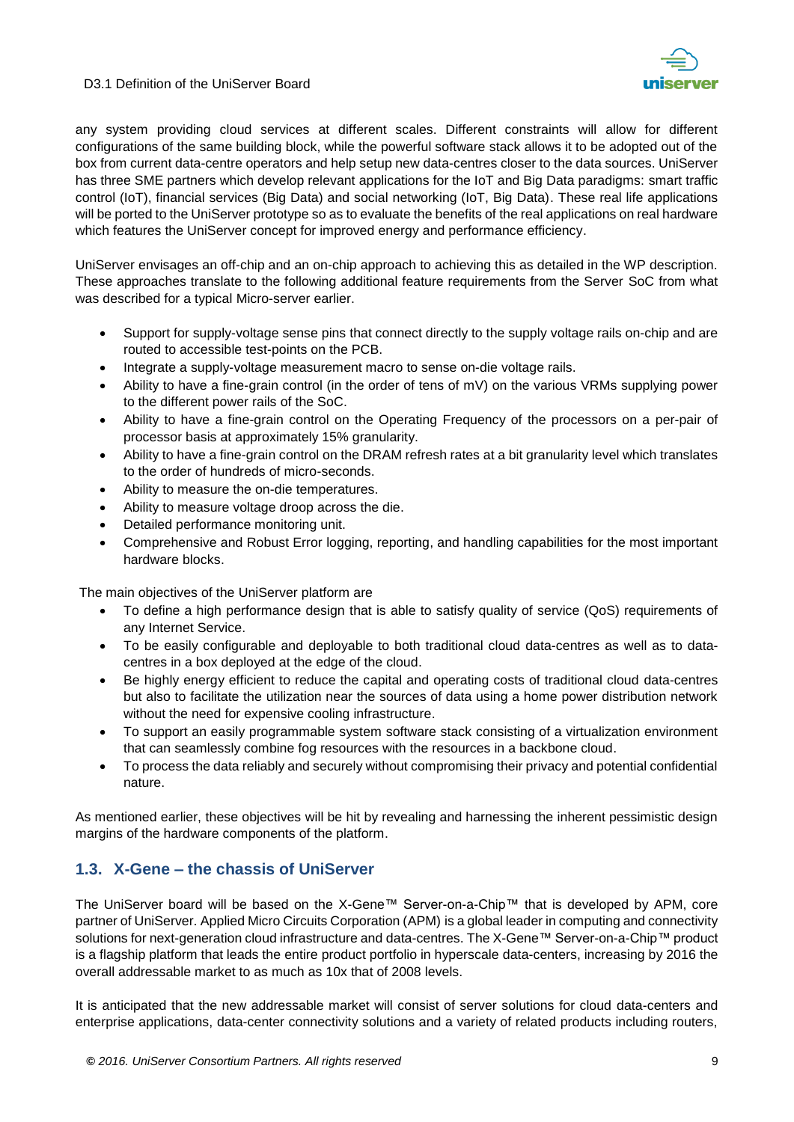

any system providing cloud services at different scales. Different constraints will allow for different configurations of the same building block, while the powerful software stack allows it to be adopted out of the box from current data-centre operators and help setup new data-centres closer to the data sources. UniServer has three SME partners which develop relevant applications for the IoT and Big Data paradigms: smart traffic control (IoT), financial services (Big Data) and social networking (IoT, Big Data). These real life applications will be ported to the UniServer prototype so as to evaluate the benefits of the real applications on real hardware which features the UniServer concept for improved energy and performance efficiency.

UniServer envisages an off-chip and an on-chip approach to achieving this as detailed in the WP description. These approaches translate to the following additional feature requirements from the Server SoC from what was described for a typical Micro-server earlier.

- Support for supply-voltage sense pins that connect directly to the supply voltage rails on-chip and are routed to accessible test-points on the PCB.
- Integrate a supply-voltage measurement macro to sense on-die voltage rails.
- Ability to have a fine-grain control (in the order of tens of mV) on the various VRMs supplying power to the different power rails of the SoC.
- Ability to have a fine-grain control on the Operating Frequency of the processors on a per-pair of processor basis at approximately 15% granularity.
- Ability to have a fine-grain control on the DRAM refresh rates at a bit granularity level which translates to the order of hundreds of micro-seconds.
- Ability to measure the on-die temperatures.
- Ability to measure voltage droop across the die.
- Detailed performance monitoring unit.
- Comprehensive and Robust Error logging, reporting, and handling capabilities for the most important hardware blocks.

The main objectives of the UniServer platform are

- To define a high performance design that is able to satisfy quality of service (QoS) requirements of any Internet Service.
- To be easily configurable and deployable to both traditional cloud data-centres as well as to datacentres in a box deployed at the edge of the cloud.
- Be highly energy efficient to reduce the capital and operating costs of traditional cloud data-centres but also to facilitate the utilization near the sources of data using a home power distribution network without the need for expensive cooling infrastructure.
- To support an easily programmable system software stack consisting of a virtualization environment that can seamlessly combine fog resources with the resources in a backbone cloud.
- To process the data reliably and securely without compromising their privacy and potential confidential nature.

As mentioned earlier, these objectives will be hit by revealing and harnessing the inherent pessimistic design margins of the hardware components of the platform.

## <span id="page-8-0"></span>**1.3. X-Gene – the chassis of UniServer**

The UniServer board will be based on the X-Gene™ Server-on-a-Chip™ that is developed by APM, core partner of UniServer. Applied Micro Circuits Corporation (APM) is a global leader in computing and connectivity solutions for next-generation cloud infrastructure and data-centres. The X-Gene™ Server-on-a-Chip™ product is a flagship platform that leads the entire product portfolio in hyperscale data-centers, increasing by 2016 the overall addressable market to as much as 10x that of 2008 levels.

It is anticipated that the new addressable market will consist of server solutions for cloud data-centers and enterprise applications, data-center connectivity solutions and a variety of related products including routers,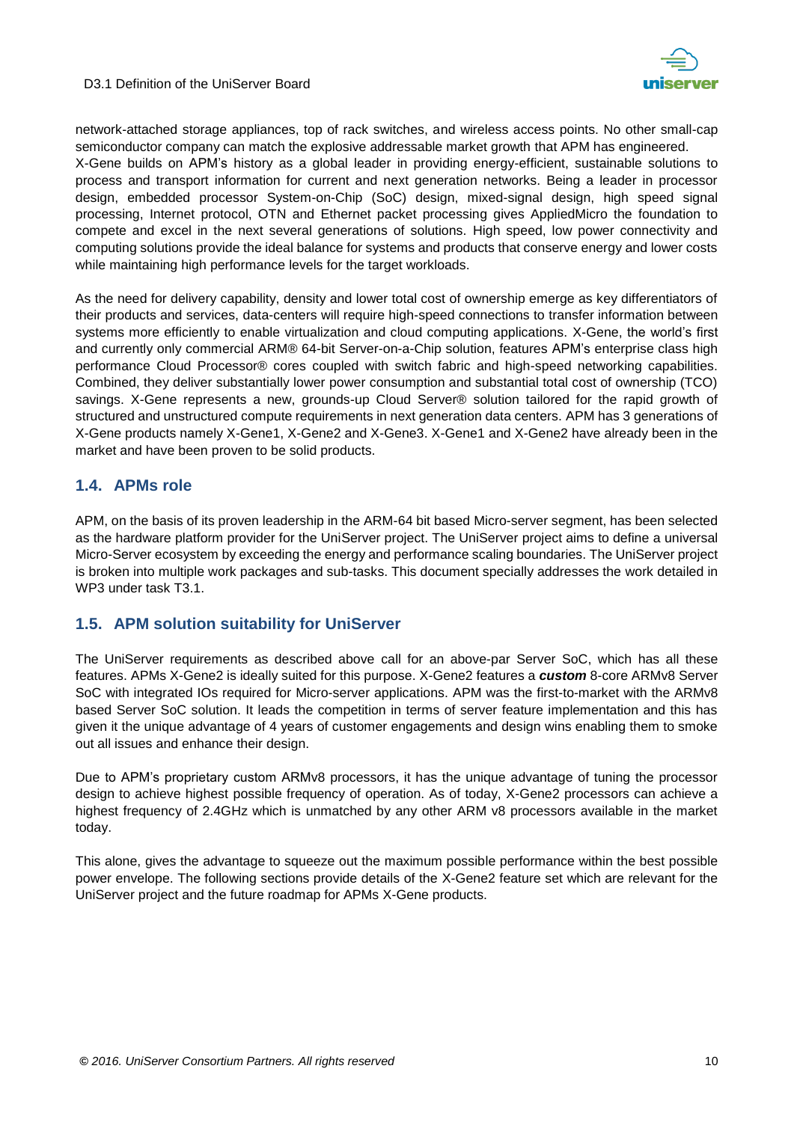

network-attached storage appliances, top of rack switches, and wireless access points. No other small-cap semiconductor company can match the explosive addressable market growth that APM has engineered. X-Gene builds on APM's history as a global leader in providing energy-efficient, sustainable solutions to

process and transport information for current and next generation networks. Being a leader in processor design, embedded processor System-on-Chip (SoC) design, mixed-signal design, high speed signal processing, Internet protocol, OTN and Ethernet packet processing gives AppliedMicro the foundation to compete and excel in the next several generations of solutions. High speed, low power connectivity and computing solutions provide the ideal balance for systems and products that conserve energy and lower costs while maintaining high performance levels for the target workloads.

As the need for delivery capability, density and lower total cost of ownership emerge as key differentiators of their products and services, data-centers will require high-speed connections to transfer information between systems more efficiently to enable virtualization and cloud computing applications. X-Gene, the world's first and currently only commercial ARM® 64-bit Server-on-a-Chip solution, features APM's enterprise class high performance Cloud Processor® cores coupled with switch fabric and high-speed networking capabilities. Combined, they deliver substantially lower power consumption and substantial total cost of ownership (TCO) savings. X-Gene represents a new, grounds-up Cloud Server® solution tailored for the rapid growth of structured and unstructured compute requirements in next generation data centers. APM has 3 generations of X-Gene products namely X-Gene1, X-Gene2 and X-Gene3. X-Gene1 and X-Gene2 have already been in the market and have been proven to be solid products.

## <span id="page-9-0"></span>**1.4. APMs role**

APM, on the basis of its proven leadership in the ARM-64 bit based Micro-server segment, has been selected as the hardware platform provider for the UniServer project. The UniServer project aims to define a universal Micro-Server ecosystem by exceeding the energy and performance scaling boundaries. The UniServer project is broken into multiple work packages and sub-tasks. This document specially addresses the work detailed in WP3 under task T3.1.

## <span id="page-9-1"></span>**1.5. APM solution suitability for UniServer**

The UniServer requirements as described above call for an above-par Server SoC, which has all these features. APMs X-Gene2 is ideally suited for this purpose. X-Gene2 features a *custom* 8-core ARMv8 Server SoC with integrated IOs required for Micro-server applications. APM was the first-to-market with the ARMv8 based Server SoC solution. It leads the competition in terms of server feature implementation and this has given it the unique advantage of 4 years of customer engagements and design wins enabling them to smoke out all issues and enhance their design.

Due to APM's proprietary custom ARMv8 processors, it has the unique advantage of tuning the processor design to achieve highest possible frequency of operation. As of today, X-Gene2 processors can achieve a highest frequency of 2.4GHz which is unmatched by any other ARM v8 processors available in the market today.

This alone, gives the advantage to squeeze out the maximum possible performance within the best possible power envelope. The following sections provide details of the X-Gene2 feature set which are relevant for the UniServer project and the future roadmap for APMs X-Gene products.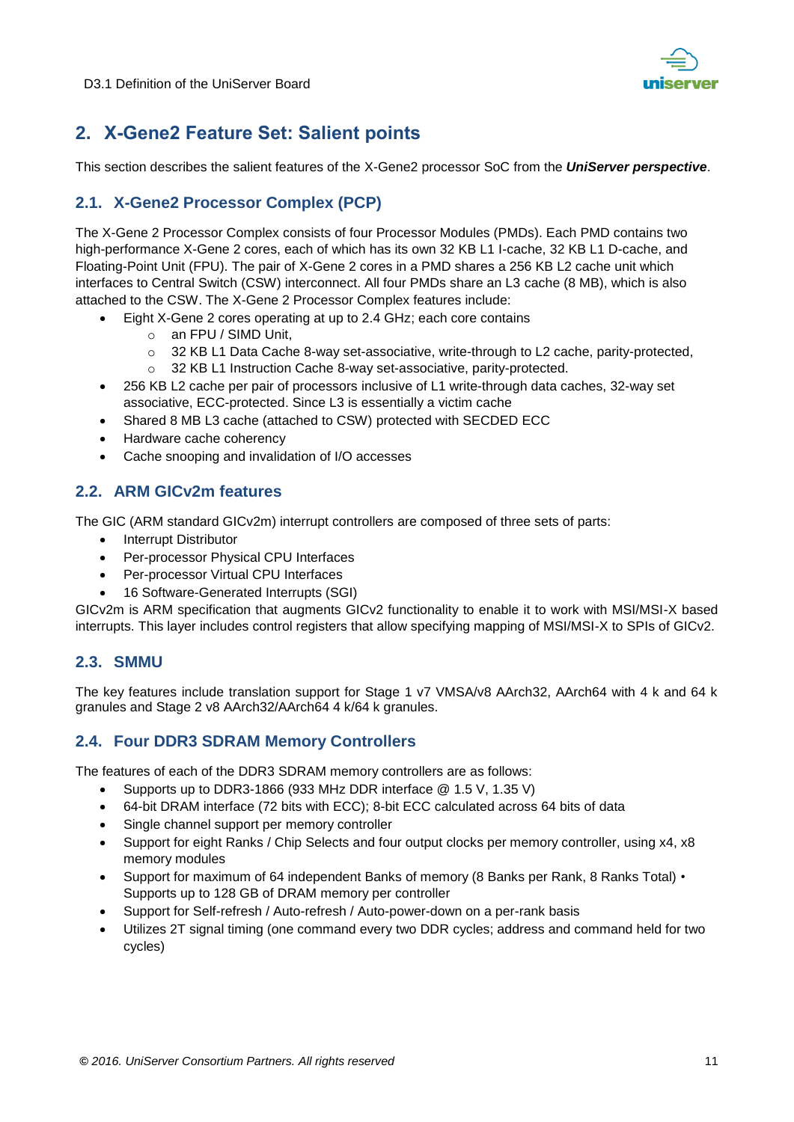

# <span id="page-10-0"></span>**2. X-Gene2 Feature Set: Salient points**

This section describes the salient features of the X-Gene2 processor SoC from the *UniServer perspective*.

# <span id="page-10-1"></span>**2.1. X-Gene2 Processor Complex (PCP)**

The X-Gene 2 Processor Complex consists of four Processor Modules (PMDs). Each PMD contains two high-performance X-Gene 2 cores, each of which has its own 32 KB L1 I-cache, 32 KB L1 D-cache, and Floating-Point Unit (FPU). The pair of X-Gene 2 cores in a PMD shares a 256 KB L2 cache unit which interfaces to Central Switch (CSW) interconnect. All four PMDs share an L3 cache (8 MB), which is also attached to the CSW. The X-Gene 2 Processor Complex features include:

- Eight X-Gene 2 cores operating at up to 2.4 GHz; each core contains
	- o an FPU / SIMD Unit,
	- o 32 KB L1 Data Cache 8-way set-associative, write-through to L2 cache, parity-protected,
	- o 32 KB L1 Instruction Cache 8-way set-associative, parity-protected.
- 256 KB L2 cache per pair of processors inclusive of L1 write-through data caches, 32-way set associative, ECC-protected. Since L3 is essentially a victim cache
- Shared 8 MB L3 cache (attached to CSW) protected with SECDED ECC
- Hardware cache coherency
- Cache snooping and invalidation of I/O accesses

# <span id="page-10-2"></span>**2.2. ARM GICv2m features**

The GIC (ARM standard GICv2m) interrupt controllers are composed of three sets of parts:

- Interrupt Distributor
- Per-processor Physical CPU Interfaces
- Per-processor Virtual CPU Interfaces
- 16 Software-Generated Interrupts (SGI)

GICv2m is ARM specification that augments GICv2 functionality to enable it to work with MSI/MSI-X based interrupts. This layer includes control registers that allow specifying mapping of MSI/MSI-X to SPIs of GICv2.

## <span id="page-10-3"></span>**2.3. SMMU**

The key features include translation support for Stage 1 v7 VMSA/v8 AArch32, AArch64 with 4 k and 64 k granules and Stage 2 v8 AArch32/AArch64 4 k/64 k granules.

## <span id="page-10-4"></span>**2.4. Four DDR3 SDRAM Memory Controllers**

The features of each of the DDR3 SDRAM memory controllers are as follows:

- Supports up to DDR3-1866 (933 MHz DDR interface @ 1.5 V, 1.35 V)
- 64-bit DRAM interface (72 bits with ECC); 8-bit ECC calculated across 64 bits of data
- Single channel support per memory controller
- Support for eight Ranks / Chip Selects and four output clocks per memory controller, using x4, x8 memory modules
- Support for maximum of 64 independent Banks of memory (8 Banks per Rank, 8 Ranks Total) Supports up to 128 GB of DRAM memory per controller
- Support for Self-refresh / Auto-refresh / Auto-power-down on a per-rank basis
- Utilizes 2T signal timing (one command every two DDR cycles; address and command held for two cycles)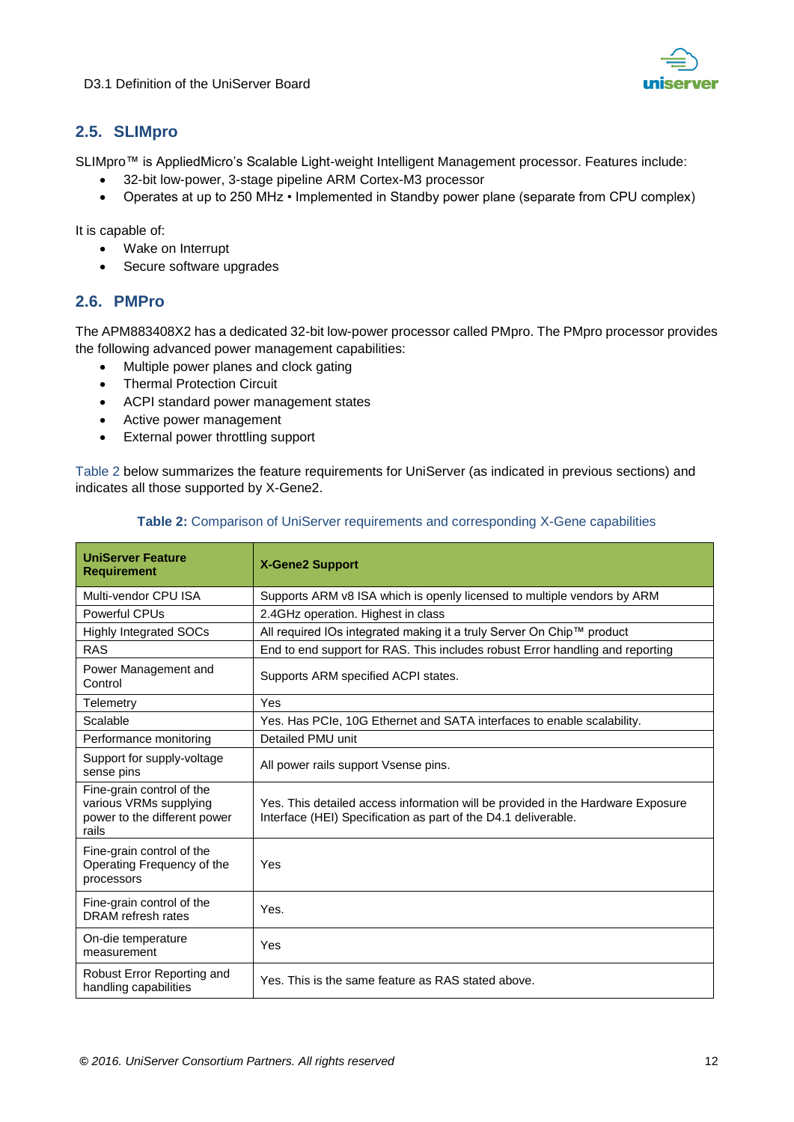

# <span id="page-11-0"></span>**2.5. SLIMpro**

SLIMpro™ is AppliedMicro's Scalable Light-weight Intelligent Management processor. Features include:

- 32-bit low-power, 3-stage pipeline ARM Cortex-M3 processor
- Operates at up to 250 MHz Implemented in Standby power plane (separate from CPU complex)

It is capable of:

- Wake on Interrupt
- Secure software upgrades

# <span id="page-11-1"></span>**2.6. PMPro**

The APM883408X2 has a dedicated 32-bit low-power processor called PMpro. The PMpro processor provides the following advanced power management capabilities:

- Multiple power planes and clock gating
- **•** Thermal Protection Circuit
- ACPI standard power management states
- Active power management
- External power throttling support

Table 2 below summarizes the feature requirements for UniServer (as indicated in previous sections) and indicates all those supported by X-Gene2.

| <b>UniServer Feature</b><br><b>Requirement</b>                                               | <b>X-Gene2 Support</b>                                                                                                                            |  |
|----------------------------------------------------------------------------------------------|---------------------------------------------------------------------------------------------------------------------------------------------------|--|
| Multi-vendor CPU ISA                                                                         | Supports ARM v8 ISA which is openly licensed to multiple vendors by ARM                                                                           |  |
| Powerful CPUs                                                                                | 2.4GHz operation. Highest in class                                                                                                                |  |
| <b>Highly Integrated SOCs</b>                                                                | All required IOs integrated making it a truly Server On Chip™ product                                                                             |  |
| <b>RAS</b>                                                                                   | End to end support for RAS. This includes robust Error handling and reporting                                                                     |  |
| Power Management and<br>Control                                                              | Supports ARM specified ACPI states.                                                                                                               |  |
| Telemetry                                                                                    | Yes                                                                                                                                               |  |
| Scalable                                                                                     | Yes. Has PCIe, 10G Ethernet and SATA interfaces to enable scalability.                                                                            |  |
| Performance monitoring                                                                       | Detailed PMU unit                                                                                                                                 |  |
| Support for supply-voltage<br>sense pins                                                     | All power rails support Vsense pins.                                                                                                              |  |
| Fine-grain control of the<br>various VRMs supplying<br>power to the different power<br>rails | Yes. This detailed access information will be provided in the Hardware Exposure<br>Interface (HEI) Specification as part of the D4.1 deliverable. |  |
| Fine-grain control of the<br>Operating Frequency of the<br>processors                        | Yes                                                                                                                                               |  |
| Fine-grain control of the<br>DRAM refresh rates                                              | Yes.                                                                                                                                              |  |
| On-die temperature<br>measurement                                                            | Yes                                                                                                                                               |  |
| Robust Error Reporting and<br>handling capabilities                                          | Yes. This is the same feature as RAS stated above.                                                                                                |  |

#### **Table 2:** Comparison of UniServer requirements and corresponding X-Gene capabilities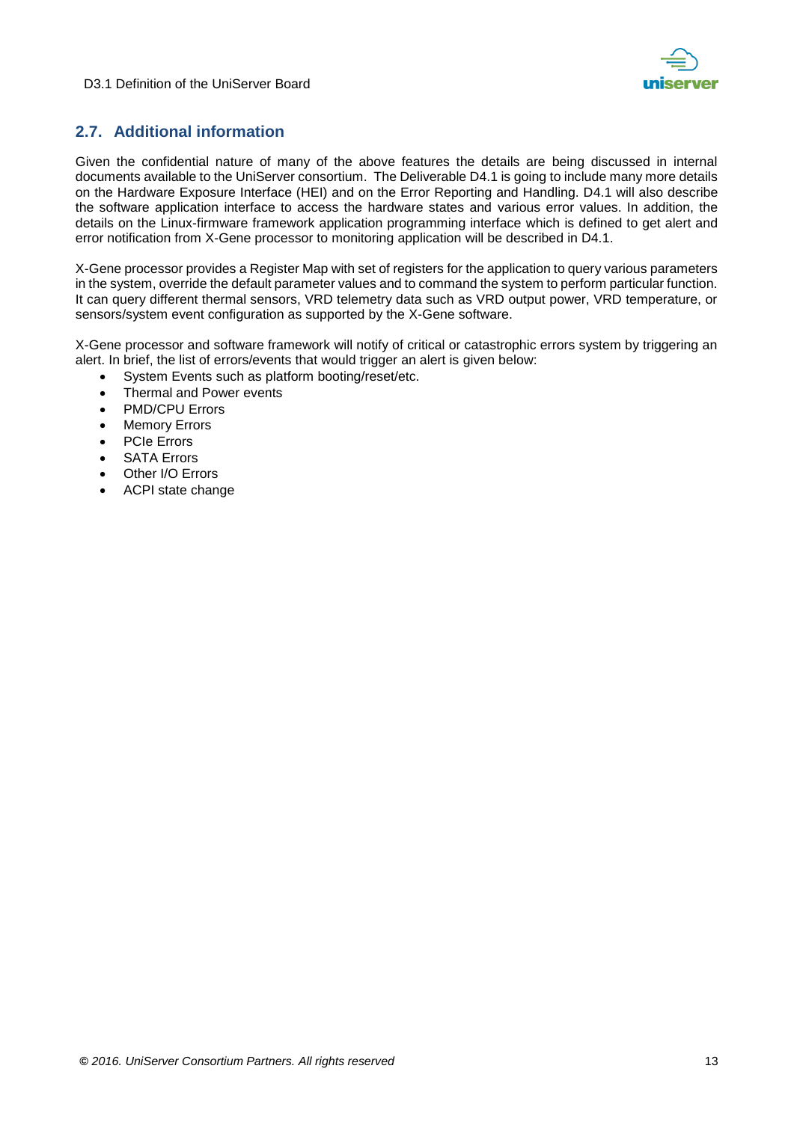



# <span id="page-12-0"></span>**2.7. Additional information**

Given the confidential nature of many of the above features the details are being discussed in internal documents available to the UniServer consortium. The Deliverable D4.1 is going to include many more details on the Hardware Exposure Interface (HEI) and on the Error Reporting and Handling. D4.1 will also describe the software application interface to access the hardware states and various error values. In addition, the details on the Linux-firmware framework application programming interface which is defined to get alert and error notification from X-Gene processor to monitoring application will be described in D4.1.

X-Gene processor provides a Register Map with set of registers for the application to query various parameters in the system, override the default parameter values and to command the system to perform particular function. It can query different thermal sensors, VRD telemetry data such as VRD output power, VRD temperature, or sensors/system event configuration as supported by the X-Gene software.

X-Gene processor and software framework will notify of critical or catastrophic errors system by triggering an alert. In brief, the list of errors/events that would trigger an alert is given below:

- System Events such as platform booting/reset/etc.
- Thermal and Power events
- PMD/CPU Errors
- Memory Errors
- PCIe Errors
- SATA Errors
- Other I/O Errors
- ACPI state change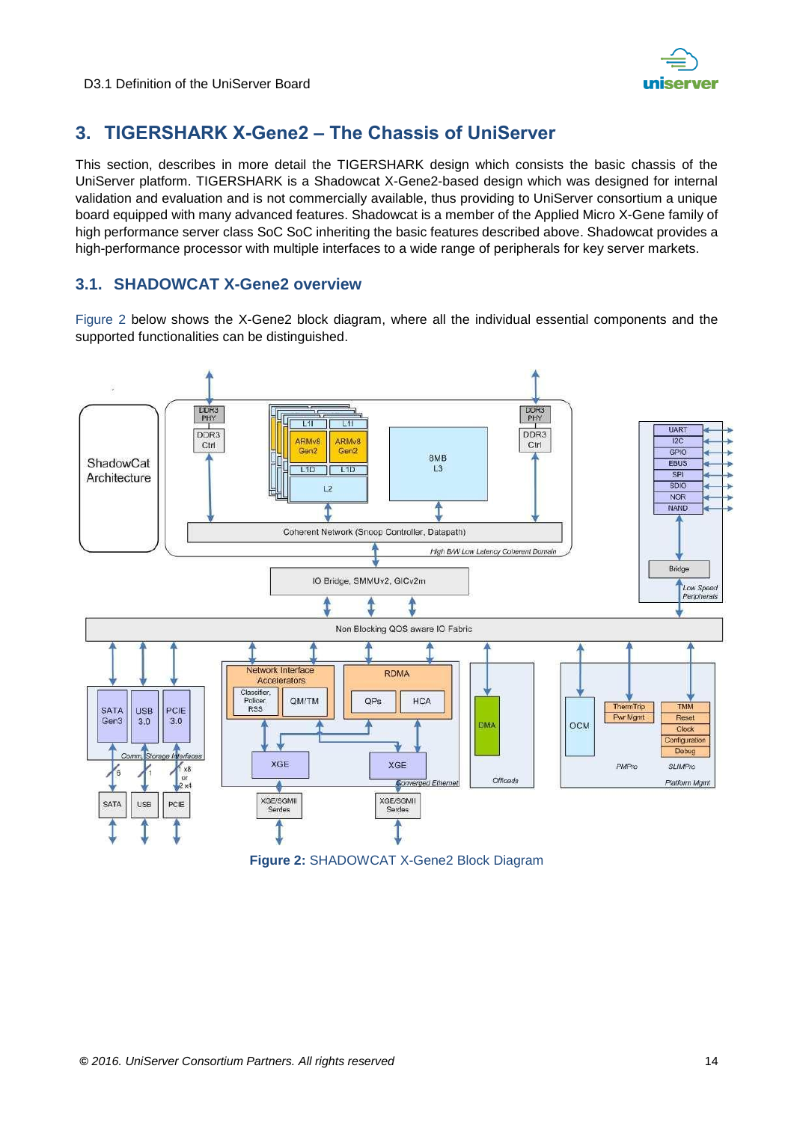

# <span id="page-13-0"></span>**3. TIGERSHARK X-Gene2 – The Chassis of UniServer**

This section, describes in more detail the TIGERSHARK design which consists the basic chassis of the UniServer platform. TIGERSHARK is a Shadowcat X-Gene2-based design which was designed for internal validation and evaluation and is not commercially available, thus providing to UniServer consortium a unique board equipped with many advanced features. Shadowcat is a member of the Applied Micro X-Gene family of high performance server class SoC SoC inheriting the basic features described above. Shadowcat provides a high-performance processor with multiple interfaces to a wide range of peripherals for key server markets.

## <span id="page-13-1"></span>**3.1. SHADOWCAT X-Gene2 overview**

[Figure 2](#page-13-2) below shows the X-Gene2 block diagram, where all the individual essential components and the supported functionalities can be distinguished.

<span id="page-13-2"></span>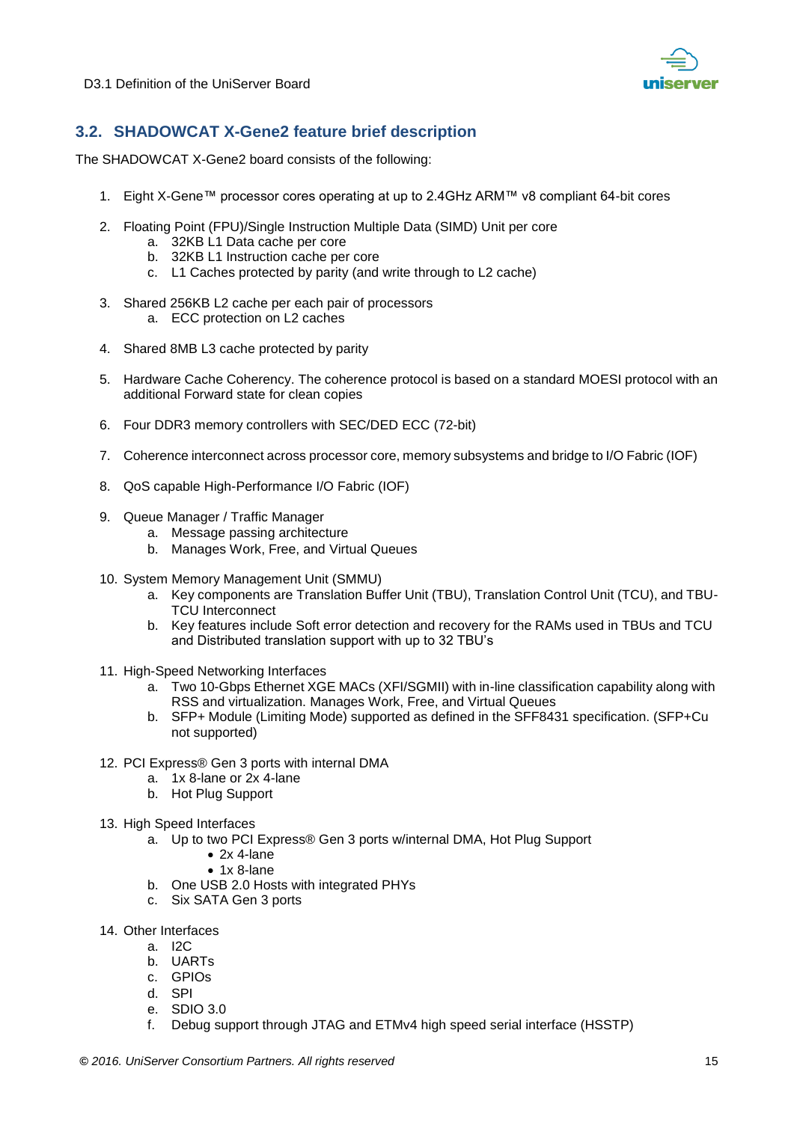

# <span id="page-14-0"></span>**3.2. SHADOWCAT X-Gene2 feature brief description**

The SHADOWCAT X-Gene2 board consists of the following:

- 1. Eight X-Gene™ processor cores operating at up to 2.4GHz ARM™ v8 compliant 64-bit cores
- 2. Floating Point (FPU)/Single Instruction Multiple Data (SIMD) Unit per core
	- a. 32KB L1 Data cache per core
	- b. 32KB L1 Instruction cache per core
	- c. L1 Caches protected by parity (and write through to L2 cache)
- 3. Shared 256KB L2 cache per each pair of processors a. ECC protection on L2 caches
- 4. Shared 8MB L3 cache protected by parity
- 5. Hardware Cache Coherency. The coherence protocol is based on a standard MOESI protocol with an additional Forward state for clean copies
- 6. Four DDR3 memory controllers with SEC/DED ECC (72-bit)
- 7. Coherence interconnect across processor core, memory subsystems and bridge to I/O Fabric (IOF)
- 8. QoS capable High-Performance I/O Fabric (IOF)
- 9. Queue Manager / Traffic Manager
	- a. Message passing architecture
	- b. Manages Work, Free, and Virtual Queues
- 10. System Memory Management Unit (SMMU)
	- a. Key components are Translation Buffer Unit (TBU), Translation Control Unit (TCU), and TBU-TCU Interconnect
	- b. Key features include Soft error detection and recovery for the RAMs used in TBUs and TCU and Distributed translation support with up to 32 TBU's
- 11. High-Speed Networking Interfaces
	- a. Two 10-Gbps Ethernet XGE MACs (XFI/SGMII) with in-line classification capability along with RSS and virtualization. Manages Work, Free, and Virtual Queues
	- b. SFP+ Module (Limiting Mode) supported as defined in the SFF8431 specification. (SFP+Cu not supported)
- 12. PCI Express® Gen 3 ports with internal DMA
	- a. 1x 8-lane or 2x 4-lane
	- b. Hot Plug Support
- 13. High Speed Interfaces
	- a. Up to two PCI Express® Gen 3 ports w/internal DMA, Hot Plug Support
		- $\bullet$  2x 4-lane
			- $\bullet$  1x 8-lane
	- b. One USB 2.0 Hosts with integrated PHYs
	- c. Six SATA Gen 3 ports
- 14. Other Interfaces
	- a. I2C
	- b. UARTs
	- c. GPIOs
	- d. SPI
	- e. SDIO 3.0
	- f. Debug support through JTAG and ETMv4 high speed serial interface (HSSTP)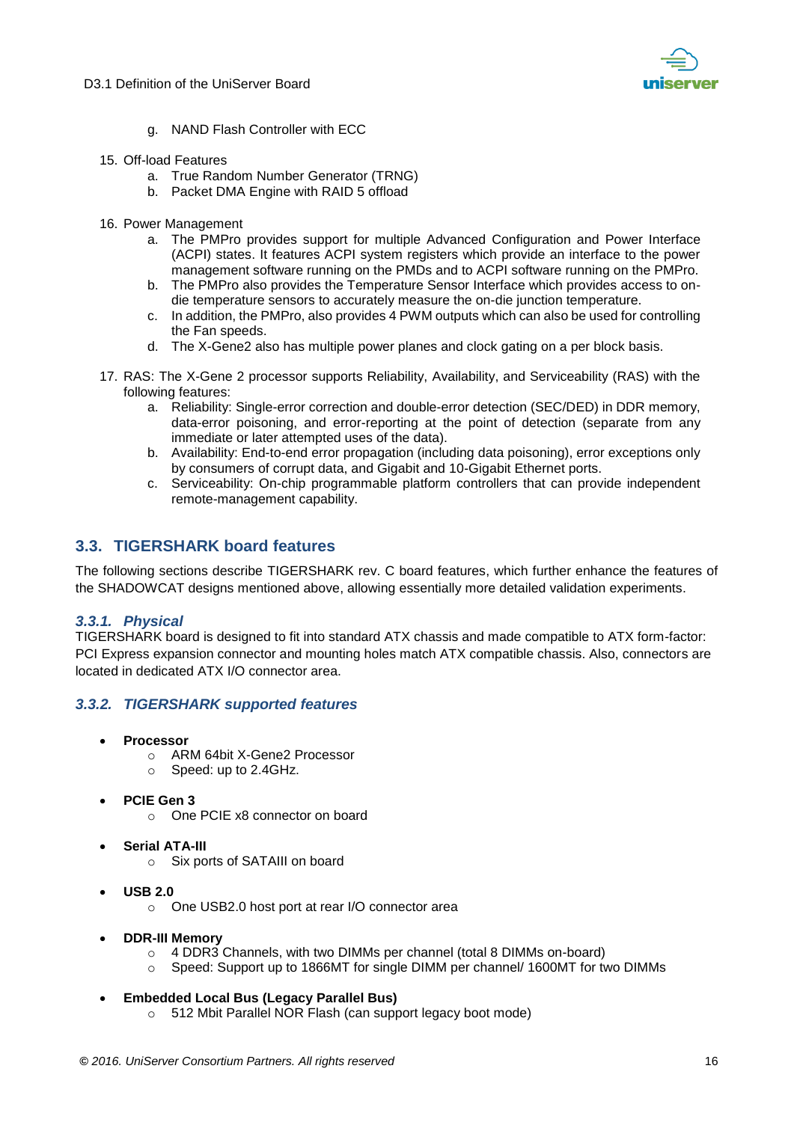

- g. NAND Flash Controller with ECC
- 15. Off-load Features
	- a. True Random Number Generator (TRNG)
	- b. Packet DMA Engine with RAID 5 offload
- 16. Power Management
	- a. The PMPro provides support for multiple Advanced Configuration and Power Interface (ACPI) states. It features ACPI system registers which provide an interface to the power management software running on the PMDs and to ACPI software running on the PMPro.
	- b. The PMPro also provides the Temperature Sensor Interface which provides access to ondie temperature sensors to accurately measure the on-die junction temperature.
	- c. In addition, the PMPro, also provides 4 PWM outputs which can also be used for controlling the Fan speeds.
	- d. The X-Gene2 also has multiple power planes and clock gating on a per block basis.
- 17. RAS: The X-Gene 2 processor supports Reliability, Availability, and Serviceability (RAS) with the following features:
	- a. Reliability: Single-error correction and double-error detection (SEC/DED) in DDR memory, data-error poisoning, and error-reporting at the point of detection (separate from any immediate or later attempted uses of the data).
	- b. Availability: End-to-end error propagation (including data poisoning), error exceptions only by consumers of corrupt data, and Gigabit and 10-Gigabit Ethernet ports.
	- c. Serviceability: On-chip programmable platform controllers that can provide independent remote-management capability.

### <span id="page-15-0"></span>**3.3. TIGERSHARK board features**

The following sections describe TIGERSHARK rev. C board features, which further enhance the features of the SHADOWCAT designs mentioned above, allowing essentially more detailed validation experiments.

#### <span id="page-15-1"></span>*3.3.1. Physical*

TIGERSHARK board is designed to fit into standard ATX chassis and made compatible to ATX form-factor: PCI Express expansion connector and mounting holes match ATX compatible chassis. Also, connectors are located in dedicated ATX I/O connector area.

#### <span id="page-15-2"></span>*3.3.2. TIGERSHARK supported features*

- **Processor** 
	- o ARM 64bit X-Gene2 Processor
	- o Speed: up to 2.4GHz.
- **PCIE Gen 3** 
	- o One PCIE x8 connector on board
- **Serial ATA-III** 
	- o Six ports of SATAIII on board
- **USB 2.0** 
	- o One USB2.0 host port at rear I/O connector area
- **DDR-III Memory** 
	- o 4 DDR3 Channels, with two DIMMs per channel (total 8 DIMMs on-board)
	- o Speed: Support up to 1866MT for single DIMM per channel/ 1600MT for two DIMMs
- **Embedded Local Bus (Legacy Parallel Bus)** 
	- o 512 Mbit Parallel NOR Flash (can support legacy boot mode)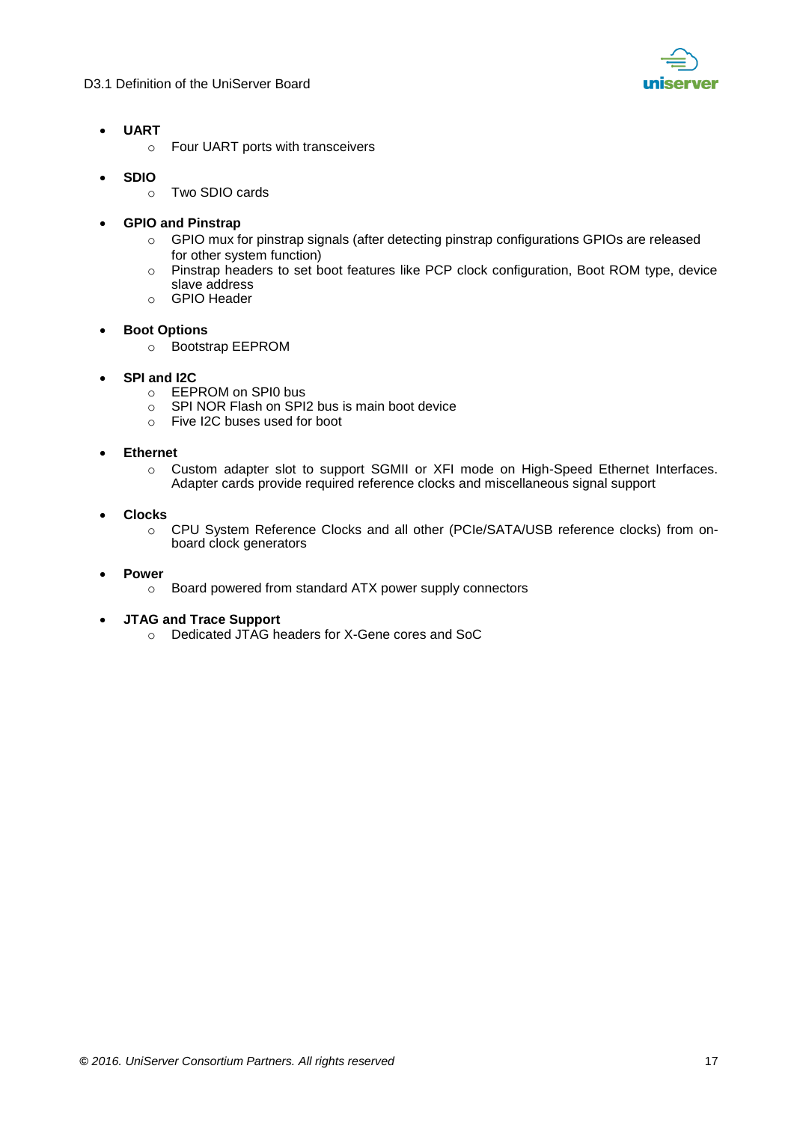

- **UART** 
	- o Four UART ports with transceivers
- **SDIO** 
	- o Two SDIO cards
- **GPIO and Pinstrap** 
	- o GPIO mux for pinstrap signals (after detecting pinstrap configurations GPIOs are released for other system function)
	- o Pinstrap headers to set boot features like PCP clock configuration, Boot ROM type, device slave address
	- o GPIO Header
- **Boot Options** 
	- o Bootstrap EEPROM
- **SPI and I2C** 
	- o EEPROM on SPI0 bus
	- o SPI NOR Flash on SPI2 bus is main boot device
	- o Five I2C buses used for boot
- **Ethernet** 
	- o Custom adapter slot to support SGMII or XFI mode on High-Speed Ethernet Interfaces. Adapter cards provide required reference clocks and miscellaneous signal support
- **Clocks** 
	- o CPU System Reference Clocks and all other (PCIe/SATA/USB reference clocks) from onboard clock generators
- **Power** 
	- o Board powered from standard ATX power supply connectors
- **JTAG and Trace Support** 
	- o Dedicated JTAG headers for X-Gene cores and SoC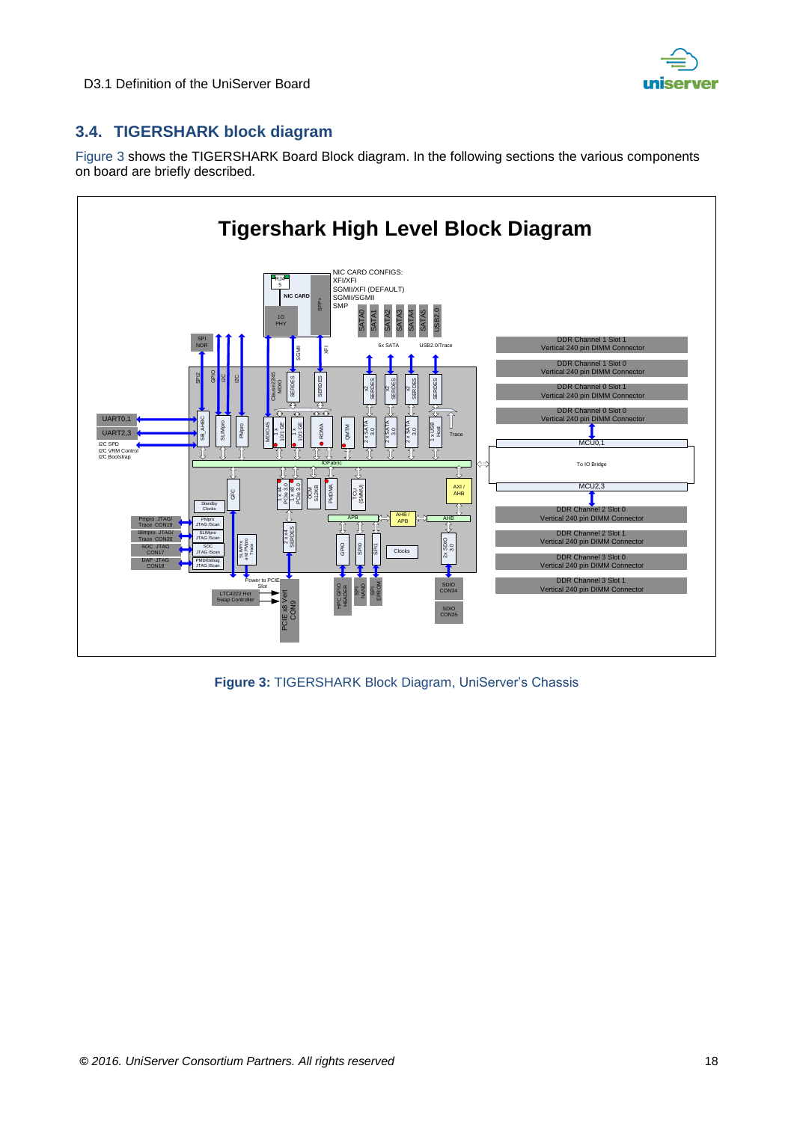

# <span id="page-17-0"></span>**3.4. TIGERSHARK block diagram**

[Figure 3](#page-17-1) shows the TIGERSHARK Board Block diagram. In the following sections the various components on board are briefly described.



<span id="page-17-1"></span>**Figure 3:** TIGERSHARK Block Diagram, UniServer's Chassis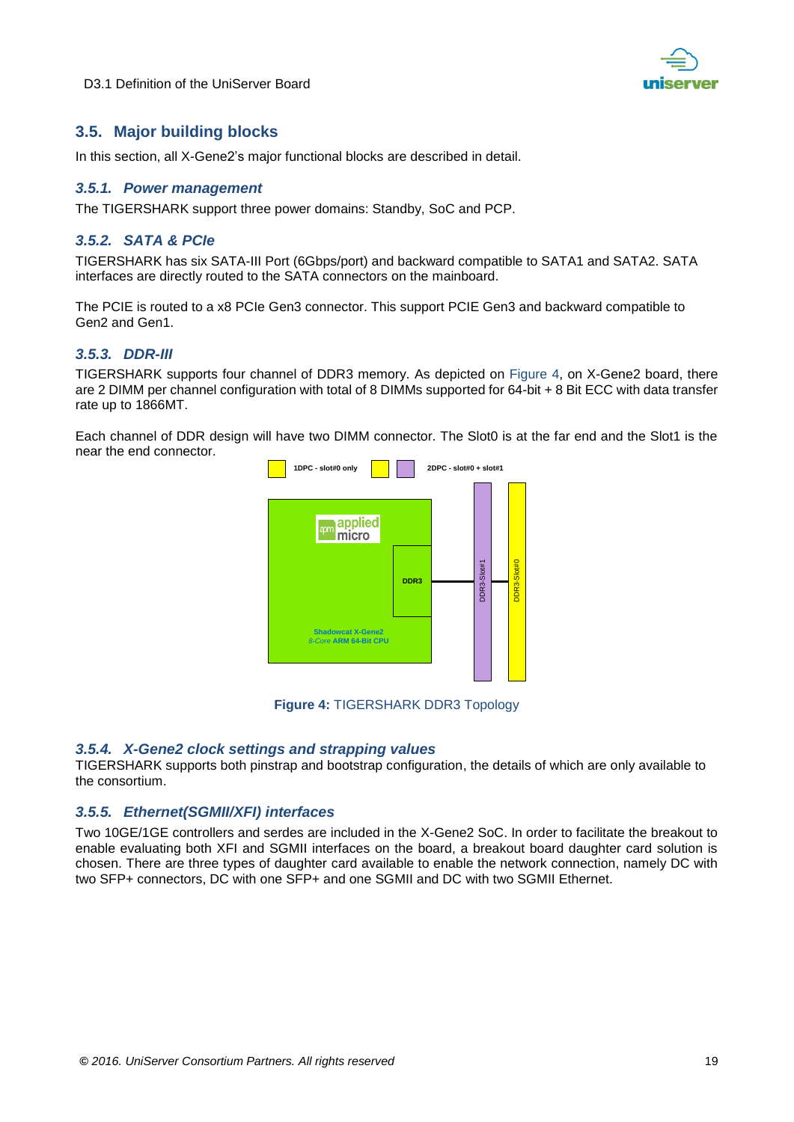



# <span id="page-18-0"></span>**3.5. Major building blocks**

In this section, all X-Gene2's major functional blocks are described in detail.

#### <span id="page-18-1"></span>*3.5.1. Power management*

The TIGERSHARK support three power domains: Standby, SoC and PCP.

#### <span id="page-18-2"></span>*3.5.2. SATA & PCIe*

TIGERSHARK has six SATA-III Port (6Gbps/port) and backward compatible to SATA1 and SATA2. SATA interfaces are directly routed to the SATA connectors on the mainboard.

The PCIE is routed to a x8 PCIe Gen3 connector. This support PCIE Gen3 and backward compatible to Gen2 and Gen1.

#### <span id="page-18-3"></span>*3.5.3. DDR-III*

TIGERSHARK supports four channel of DDR3 memory. As depicted on Figure 4, on X-Gene2 board, there are 2 DIMM per channel configuration with total of 8 DIMMs supported for 64-bit + 8 Bit ECC with data transfer rate up to 1866MT.

Each channel of DDR design will have two DIMM connector. The Slot0 is at the far end and the Slot1 is the near the end connector.



**Figure 4:** TIGERSHARK DDR3 Topology

#### <span id="page-18-6"></span><span id="page-18-4"></span>*3.5.4. X-Gene2 clock settings and strapping values*

TIGERSHARK supports both pinstrap and bootstrap configuration, the details of which are only available to the consortium.

#### <span id="page-18-5"></span>*3.5.5. Ethernet(SGMII/XFI) interfaces*

Two 10GE/1GE controllers and serdes are included in the X-Gene2 SoC. In order to facilitate the breakout to enable evaluating both XFI and SGMII interfaces on the board, a breakout board daughter card solution is chosen. There are three types of daughter card available to enable the network connection, namely DC with two SFP+ connectors, DC with one SFP+ and one SGMII and DC with two SGMII Ethernet.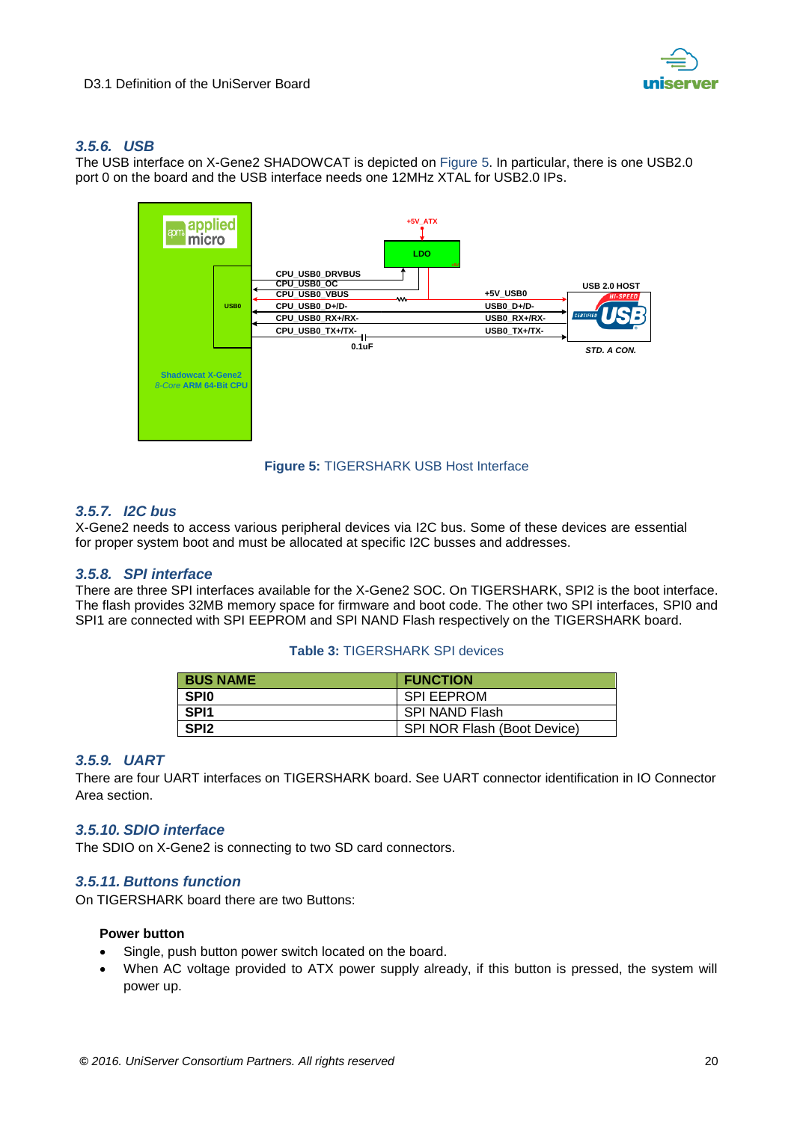

#### <span id="page-19-0"></span>*3.5.6. USB*

The USB interface on X-Gene2 SHADOWCAT is depicted on Figure 5. In particular, there is one USB2.0 port 0 on the board and the USB interface needs one 12MHz XTAL for USB2.0 IPs.



**Figure 5:** TIGERSHARK USB Host Interface

#### <span id="page-19-6"></span><span id="page-19-1"></span>*3.5.7. I2C bus*

X-Gene2 needs to access various peripheral devices via I2C bus. Some of these devices are essential for proper system boot and must be allocated at specific I2C busses and addresses.

#### <span id="page-19-2"></span>*3.5.8. SPI interface*

There are three SPI interfaces available for the X-Gene2 SOC. On TIGERSHARK, SPI2 is the boot interface. The flash provides 32MB memory space for firmware and boot code. The other two SPI interfaces, SPI0 and SPI1 are connected with SPI EEPROM and SPI NAND Flash respectively on the TIGERSHARK board.

#### **Table 3:** TIGERSHARK SPI devices

| <b>BUS NAME</b>  | <b>FUNCTION</b>             |
|------------------|-----------------------------|
| <b>SPIO</b>      | <b>SPI EEPROM</b>           |
| SPI <sub>1</sub> | SPI NAND Flash              |
| SPI <sub>2</sub> | SPI NOR Flash (Boot Device) |

#### <span id="page-19-3"></span>*3.5.9. UART*

There are four UART interfaces on TIGERSHARK board. See UART connector identification in IO Connector Area section.

#### <span id="page-19-4"></span>*3.5.10. SDIO interface*

The SDIO on X-Gene2 is connecting to two SD card connectors.

#### <span id="page-19-5"></span>*3.5.11. Buttons function*

On TIGERSHARK board there are two Buttons:

#### **Power button**

- Single, push button power switch located on the board.
- When AC voltage provided to ATX power supply already, if this button is pressed, the system will power up.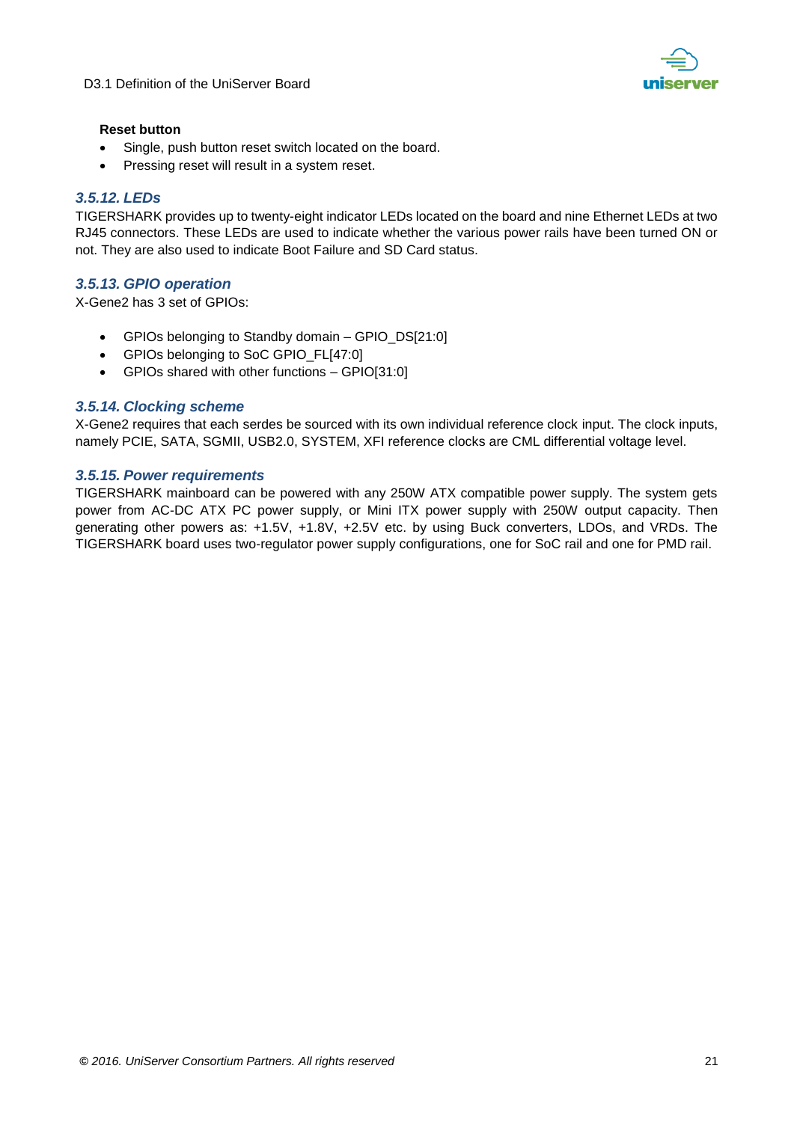

#### **Reset button**

- Single, push button reset switch located on the board.
- Pressing reset will result in a system reset.

#### <span id="page-20-0"></span>*3.5.12. LEDs*

TIGERSHARK provides up to twenty-eight indicator LEDs located on the board and nine Ethernet LEDs at two RJ45 connectors. These LEDs are used to indicate whether the various power rails have been turned ON or not. They are also used to indicate Boot Failure and SD Card status.

#### <span id="page-20-1"></span>*3.5.13. GPIO operation*

X-Gene2 has 3 set of GPIOs:

- GPIOs belonging to Standby domain GPIO\_DS[21:0]
- GPIOs belonging to SoC GPIO\_FL[47:0]
- GPIOs shared with other functions GPIO[31:0]

#### <span id="page-20-2"></span>*3.5.14. Clocking scheme*

X-Gene2 requires that each serdes be sourced with its own individual reference clock input. The clock inputs, namely PCIE, SATA, SGMII, USB2.0, SYSTEM, XFI reference clocks are CML differential voltage level.

#### <span id="page-20-3"></span>*3.5.15. Power requirements*

TIGERSHARK mainboard can be powered with any 250W ATX compatible power supply. The system gets power from AC-DC ATX PC power supply, or Mini ITX power supply with 250W output capacity. Then generating other powers as: +1.5V, +1.8V, +2.5V etc. by using Buck converters, LDOs, and VRDs. The TIGERSHARK board uses two-regulator power supply configurations, one for SoC rail and one for PMD rail.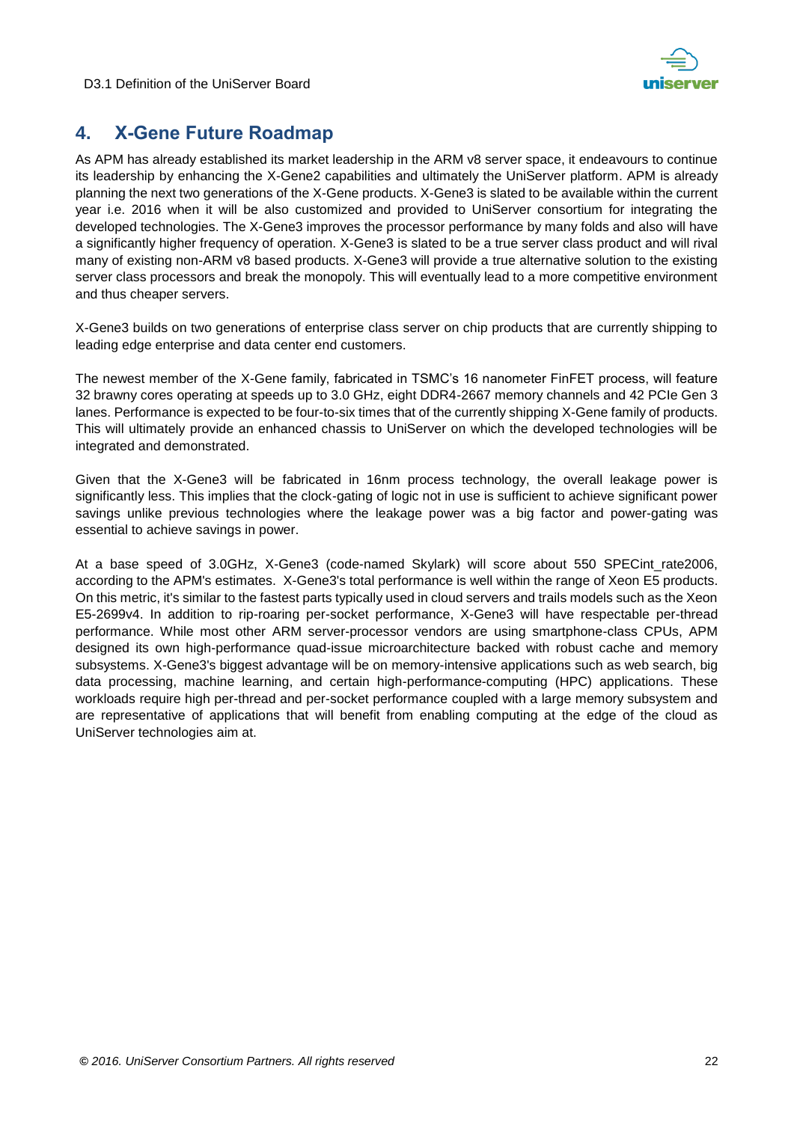

# <span id="page-21-0"></span>**4. X-Gene Future Roadmap**

As APM has already established its market leadership in the ARM v8 server space, it endeavours to continue its leadership by enhancing the X-Gene2 capabilities and ultimately the UniServer platform. APM is already planning the next two generations of the X-Gene products. X-Gene3 is slated to be available within the current year i.e. 2016 when it will be also customized and provided to UniServer consortium for integrating the developed technologies. The X-Gene3 improves the processor performance by many folds and also will have a significantly higher frequency of operation. X-Gene3 is slated to be a true server class product and will rival many of existing non-ARM v8 based products. X-Gene3 will provide a true alternative solution to the existing server class processors and break the monopoly. This will eventually lead to a more competitive environment and thus cheaper servers.

X-Gene3 builds on two generations of enterprise class server on chip products that are currently shipping to leading edge enterprise and data center end customers.

The newest member of the X-Gene family, fabricated in TSMC's 16 nanometer FinFET process, will feature 32 brawny cores operating at speeds up to 3.0 GHz, eight DDR4-2667 memory channels and 42 PCIe Gen 3 lanes. Performance is expected to be four-to-six times that of the currently shipping X-Gene family of products. This will ultimately provide an enhanced chassis to UniServer on which the developed technologies will be integrated and demonstrated.

Given that the X-Gene3 will be fabricated in 16nm process technology, the overall leakage power is significantly less. This implies that the clock-gating of logic not in use is sufficient to achieve significant power savings unlike previous technologies where the leakage power was a big factor and power-gating was essential to achieve savings in power.

At a base speed of 3.0GHz, X-Gene3 (code-named Skylark) will score about 550 SPECint\_rate2006, according to the APM's estimates. X-Gene3's total performance is well within the range of Xeon E5 products. On this metric, it's similar to the fastest parts typically used in cloud servers and trails models such as the Xeon E5-2699v4. In addition to rip-roaring per-socket performance, X-Gene3 will have respectable per-thread performance. While most other ARM server-processor vendors are using smartphone-class CPUs, APM designed its own high-performance quad-issue microarchitecture backed with robust cache and memory subsystems. X-Gene3's biggest advantage will be on memory-intensive applications such as web search, big data processing, machine learning, and certain high-performance-computing (HPC) applications. These workloads require high per-thread and per-socket performance coupled with a large memory subsystem and are representative of applications that will benefit from enabling computing at the edge of the cloud as UniServer technologies aim at.